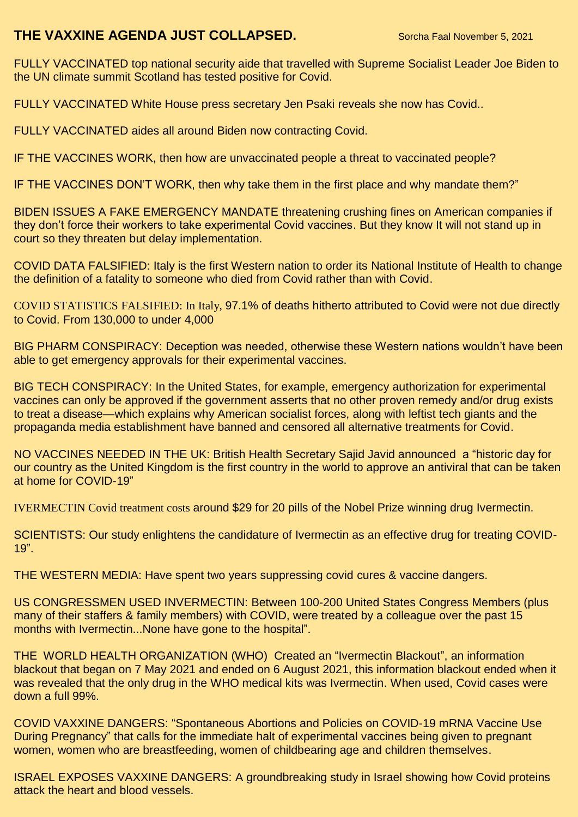## **THE VAXXINE AGENDA JUST COLLAPSED.** Sorcha Faal November 5, 2021

FULLY VACCINATED top national security aide that travelled with Supreme Socialist Leader Joe Biden to the UN climate summit Scotland [has tested positive for Covid.](https://www.rt.com/usa/539413-biden-summit-aide-covid/)

FULLY VACCINATED White House press secretary Jen Psaki reveals [she now has Covid.](https://www.cbsnews.com/news/jen-psaki-covid-19-diagnosis-white-house-press-secretary/).

FULLY VACCINATED aides all around Biden now contracting Covid.

IF THE VACCINES WORK, then how are unvaccinated people a threat to vaccinated people?

IF THE VACCINES DON'T WORK, then why take them in the first place and why mandate them?"

BIDEN ISSUES A FAKE EMERGENCY MANDATE threatening crushing fines on American companies if they don't force their workers to take experimental Covid vaccines. But they know It will not stand up in court so they threaten but delay implementation.

COVID DATA FALSIFIED: Italy is the first Western nation to order its [National Institute of Health](https://www.alleanzacontroilcancro.it/en/istituto/istituto-istituto-superiore-sanita/) to [change](https://www.zerohedge.com/markets/italian-institute-health-drastically-reduces-its-official-covid-death-toll-number)  [the definition of a fatality to someone who died from Covid rather than with Covid.](https://www.zerohedge.com/markets/italian-institute-health-drastically-reduces-its-official-covid-death-toll-number)

COVID STATISTICS FALSIFIED: In Italy, [97.1% of deaths hitherto attributed to Covid were not due directly](https://www.zerohedge.com/markets/italian-institute-health-drastically-reduces-its-official-covid-death-toll-number)  [to Covid.](https://www.zerohedge.com/markets/italian-institute-health-drastically-reduces-its-official-covid-death-toll-number) [From 130,000 to under 4,000](https://www.zerohedge.com/markets/italian-institute-health-drastically-reduces-its-official-covid-death-toll-number)

BIG PHARM CONSPIRACY: Deception was needed, otherwise these Western nations wouldn't have been able to get emergency approvals for their experimental vaccines.

BIG TECH CONSPIRACY: In the United States, for example, emergency authorization for experimental vaccines can only be approved if the government asserts that no other proven remedy and/or drug exists to treat a disease—which explains why American socialist forces, along with leftist tech giants and the propaganda media establishment have banned and censored all alternative treatments for Covid.

NO VACCINES NEEDED IN THE UK: British Health Secretary Sajid Javid announced a ["historic day for](https://www.cnbc.com/2021/11/04/merck-oral-covid-pill-approved-by-uk-in-world-first.html)  our country as the United Kingdom is [the first country in the world to approve an antiviral that can be taken](https://www.cnbc.com/2021/11/04/merck-oral-covid-pill-approved-by-uk-in-world-first.html)  [at home for COVID-19"](https://www.cnbc.com/2021/11/04/merck-oral-covid-pill-approved-by-uk-in-world-first.html)

IVERMECTIN Covid treatment costs [around \\$29](https://www.goodrx.com/ivermectin) for 20 pills of the [Nobel Prize winning drug Ivermectin.](https://www.nobelprize.org/prizes/medicine/2015/campbell/lecture/)

SCIENTISTS: [Our study enlightens the candidature of Ivermectin as an effective drug for treating COVID-](https://www.ncbi.nlm.nih.gov/pmc/articles/PMC7996102/)[19"](https://www.ncbi.nlm.nih.gov/pmc/articles/PMC7996102/).

THE WESTERN MEDIA: Have spent two years suppressing covid cures & vaccine dangers.

US CONGRESSMEN USED INVERMECTIN: Between 100-200 United States Congress Members (plus many of their staffers & family members) with COVID, were treated by a colleague over the past 15 months with Ivermectin...None have gone to the hospital".

THE WORLD HEALTH ORGANIZATION [\(WHO\)](https://www.worldpediatricproject.org/?gclid=EAIaIQobChMI_YTVwqOB9AIVArjICh3bRgolEAAYASAAEgK6ifD_BwE) Created an ["Ivermectin Blackout"](https://www.thedesertreview.com/opinion/columnists/indias-ivermectin-blackout---part-v-the-secret-revealed/article_9a37d9a8-1fb2-11ec-a94b-47343582647b.html), an information blackout that began on [7 May 2021](https://www.thedesertreview.com/opinion/columnists/indias-ivermectin-blackout---part-v-the-secret-revealed/article_9a37d9a8-1fb2-11ec-a94b-47343582647b.html) and ended on [6 August 2021,](https://www.thedesertreview.com/opinion/columnists/indias-ivermectin-blackout---part-v-the-secret-revealed/article_9a37d9a8-1fb2-11ec-a94b-47343582647b.html) this information blackout ended when it was [revealed that the only drug in the WHO medical kits was Ivermectin.](https://www.thedesertreview.com/opinion/columnists/indias-ivermectin-blackout---part-v-the-secret-revealed/article_9a37d9a8-1fb2-11ec-a94b-47343582647b.html) When used, Covid [cases were](https://www.thedesertreview.com/opinion/columnists/indias-ivermectin-blackout---part-v-the-secret-revealed/article_9a37d9a8-1fb2-11ec-a94b-47343582647b.html)  [down a full 99%.](https://www.thedesertreview.com/opinion/columnists/indias-ivermectin-blackout---part-v-the-secret-revealed/article_9a37d9a8-1fb2-11ec-a94b-47343582647b.html)

COVID VAXXINE DANGERS: ["Spontaneous Abortions and Policies on COVID-19 mRNA Vaccine Use](https://cf5e727d-d02d-4d71-89ff-9fe2d3ad957f.filesusr.com/ugd/adf864_2bd97450072f4364a65e5cf1d7384dd4.pdf)  [During Pregnancy"](https://cf5e727d-d02d-4d71-89ff-9fe2d3ad957f.filesusr.com/ugd/adf864_2bd97450072f4364a65e5cf1d7384dd4.pdf) that [calls for the immediate halt of experimental vaccines being given to pregnant](https://www.thegatewaypundit.com/2021/11/breaking-researchers-peer-reviewed-study-call-immediate-withdrawal-mrna-covid-vaccines-use-pregnancy-breastfeeding-childbearing-age-children/)  [women, women who are breastfeeding, women of childbearing age and children themselves.](https://www.thegatewaypundit.com/2021/11/breaking-researchers-peer-reviewed-study-call-immediate-withdrawal-mrna-covid-vaccines-use-pregnancy-breastfeeding-childbearing-age-children/)

ISRAEL EXPOSES VAXXINE DANGERS: A [groundbreaking study in Israel showing how Covid proteins](https://www.zerohedge.com/covid-19/groundbreaking-israeli-study-shows-how-covid-proteins-attack-heart-and-blood-vessels)  [attack the heart and blood vessels.](https://www.zerohedge.com/covid-19/groundbreaking-israeli-study-shows-how-covid-proteins-attack-heart-and-blood-vessels)